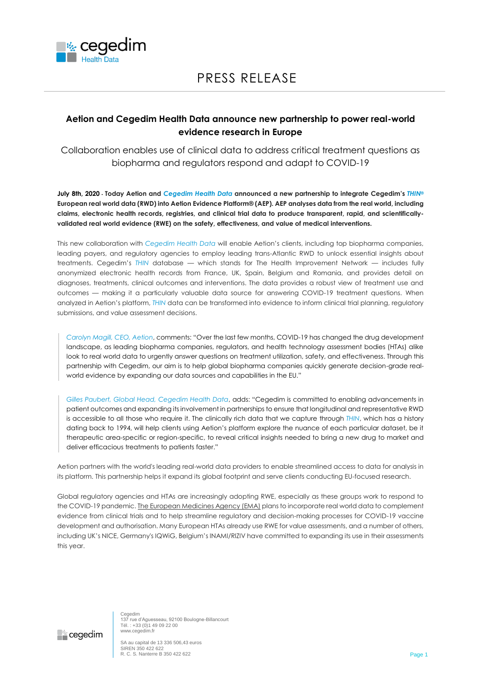

## **Aetion and Cegedim Health Data announce new partnership to power real-world evidence research in Europe**

Collaboration enables use of clinical data to address critical treatment questions as biopharma and regulators respond and adapt to COVID-19

**July 8th, 2020 - Today Aetion and** *[Cegedim Health Data](https://www.cegedim-health-data.com/)* **announced a new partnership to integrate Cegedim's** *THIN®* **European real world data (RWD) into Aetion Evidence Platform® (AEP). AEP analyses data from the real world, including claims, electronic health records, registries, and clinical trial data to produce transparent, rapid, and scientificallyvalidated real world evidence (RWE) on the safety, effectiveness, and value of medical interventions.** 

This new collaboration with *[Cegedim Health Data](https://www.cegedim-health-data.com/)* will enable Aetion's clients, including top biopharma companies, leading payers, and regulatory agencies to employ leading trans-Atlantic RWD to unlock essential insights about treatments. Cegedim's *THIN* database — which stands for The Health Improvement Network — includes fully anonymized electronic health records from France, UK, Spain, Belgium and Romania, and provides detail on diagnoses, treatments, clinical outcomes and interventions. The data provides a robust view of treatment use and outcomes — making it a particularly valuable data source for answering COVID-19 treatment questions. When analyzed in Aetion's platform, *THIN* data can be transformed into evidence to inform clinical trial planning, regulatory submissions, and value assessment decisions.

*Carolyn Magill, CEO, Aetion*, comments: "Over the last few months, COVID-19 has changed the drug development landscape, as leading biopharma companies, regulators, and health technology assessment bodies (HTAs) alike look to real world data to urgently answer questions on treatment utilization, safety, and effectiveness. Through this partnership with Cegedim, our aim is to help global biopharma companies quickly generate decision-grade realworld evidence by expanding our data sources and capabilities in the EU."

*Gilles Paubert, Global Head, Cegedim Health Data*, adds: "Cegedim is committed to enabling advancements in patient outcomes and expanding its involvement in partnerships to ensure that longitudinal and representative RWD is accessible to all those who require it. The clinically rich data that we capture through *THIN*, which has a history dating back to 1994, will help clients using Aetion's platform explore the nuance of each particular dataset, be it therapeutic area-specific or region-specific, to reveal critical insights needed to bring a new drug to market and deliver efficacious treatments to patients faster."

Aetion partners with the world's leading real-world data providers to enable streamlined access to data for analysis in its platform. This partnership helps it expand its global footprint and serve clients conducting EU-focused research.

Global regulatory agencies and HTAs are increasingly adopting RWE, especially as these groups work to respond to the COVID-19 pandemic. Th[e European Medicines Agency \(EMA\)](https://www.ema.europa.eu/en/news/global-regulators-discuss-observational-studies-real-world-data-covid-19-medicines) plans to incorporate real world data to complement evidence from clinical trials and to help streamline regulatory and decision-making processes for COVID-19 vaccine development and authorisation. Many European HTAs already use RWE for value assessments, and a number of others, including UK's NICE, Germany's IQWiG, Belgium's INAMI/RIZIV have committed to expanding its use in their assessments this year.



Cegedim 137 rue d'Aguesseau, 92100 Boulogne-Billancourt Tél. : +33 (0)1 49 09 22 00 www.cegedim.fr

SA au capital de 13 336 506,43 euros SIREN 350 422 622 R. C. S. Nanterre B 350 422 622 **Page 1 Page 1**